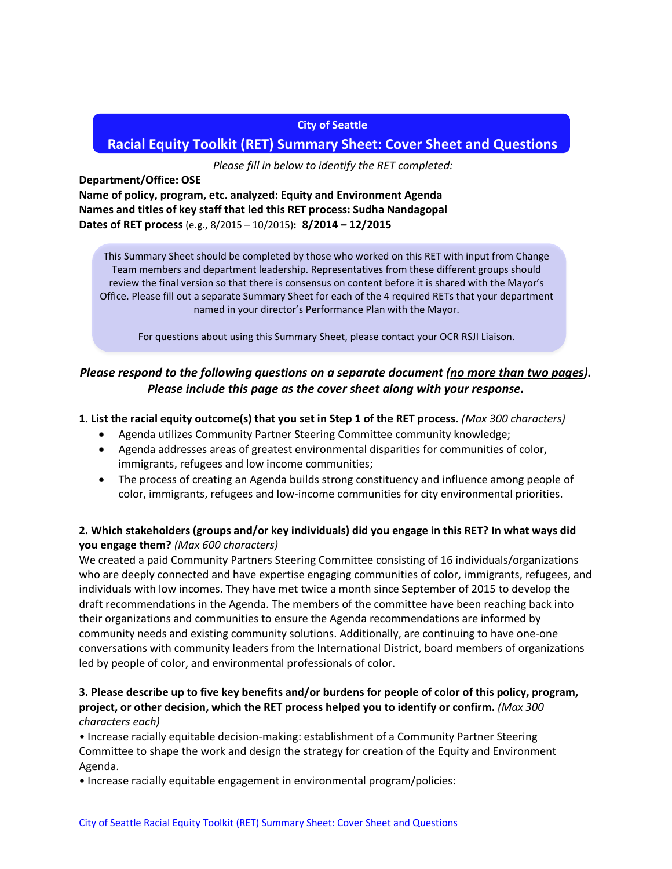#### **City of Seattle**

# **Racial Equity Toolkit (RET) Summary Sheet: Cover Sheet and Questions**

*Please fill in below to identify the RET completed:*

**Department/Office: OSE**

**Name of policy, program, etc. analyzed: Equity and Environment Agenda Names and titles of key staff that led this RET process: Sudha Nandagopal Dates of RET process** (e.g., 8/2015 – 10/2015)**: 8/2014 – 12/2015**

This Summary Sheet should be completed by those who worked on this RET with input from Change Team members and department leadership. Representatives from these different groups should review the final version so that there is consensus on content before it is shared with the Mayor's Office. Please fill out a separate Summary Sheet for each of the 4 required RETs that your department named in your director's Performance Plan with the Mayor.

For questions about using this Summary Sheet, please contact your OCR RSJI Liaison.

# *Please respond to the following questions on a separate document (no more than two pages). Please include this page as the cover sheet along with your response.*

#### **1. List the racial equity outcome(s) that you set in Step 1 of the RET process.** *(Max 300 characters)*

- Agenda utilizes Community Partner Steering Committee community knowledge;
- Agenda addresses areas of greatest environmental disparities for communities of color, immigrants, refugees and low income communities;
- The process of creating an Agenda builds strong constituency and influence among people of color, immigrants, refugees and low-income communities for city environmental priorities.

## **2. Which stakeholders (groups and/or key individuals) did you engage in this RET? In what ways did you engage them?** *(Max 600 characters)*

We created a paid Community Partners Steering Committee consisting of 16 individuals/organizations who are deeply connected and have expertise engaging communities of color, immigrants, refugees, and individuals with low incomes. They have met twice a month since September of 2015 to develop the draft recommendations in the Agenda. The members of the committee have been reaching back into their organizations and communities to ensure the Agenda recommendations are informed by community needs and existing community solutions. Additionally, are continuing to have one-one conversations with community leaders from the International District, board members of organizations led by people of color, and environmental professionals of color.

### **3. Please describe up to five key benefits and/or burdens for people of color of this policy, program, project, or other decision, which the RET process helped you to identify or confirm.** *(Max 300 characters each)*

• Increase racially equitable decision-making: establishment of a Community Partner Steering Committee to shape the work and design the strategy for creation of the Equity and Environment Agenda.

• Increase racially equitable engagement in environmental program/policies: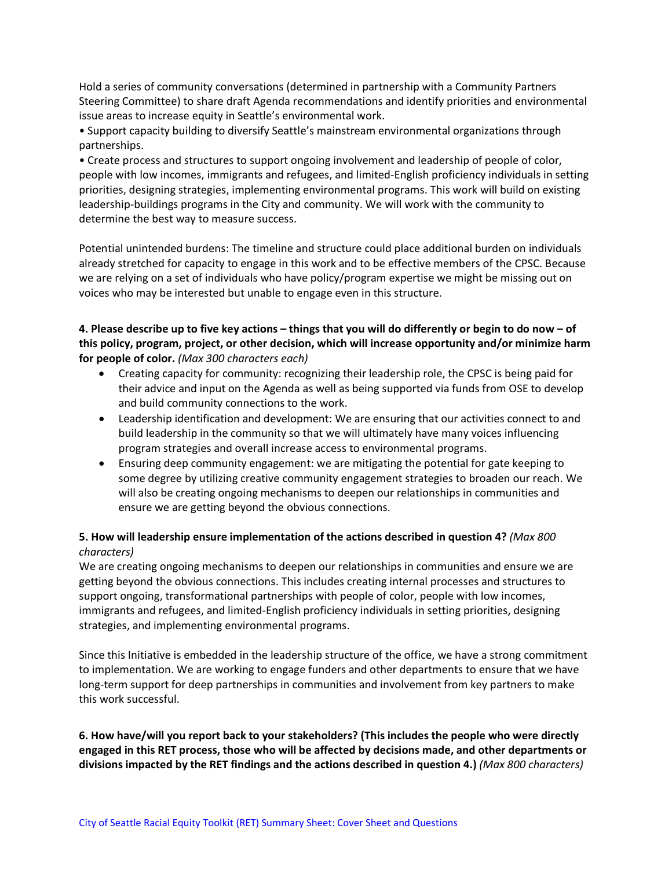Hold a series of community conversations (determined in partnership with a Community Partners Steering Committee) to share draft Agenda recommendations and identify priorities and environmental issue areas to increase equity in Seattle's environmental work.

• Support capacity building to diversify Seattle's mainstream environmental organizations through partnerships.

• Create process and structures to support ongoing involvement and leadership of people of color, people with low incomes, immigrants and refugees, and limited-English proficiency individuals in setting priorities, designing strategies, implementing environmental programs. This work will build on existing leadership-buildings programs in the City and community. We will work with the community to determine the best way to measure success.

Potential unintended burdens: The timeline and structure could place additional burden on individuals already stretched for capacity to engage in this work and to be effective members of the CPSC. Because we are relying on a set of individuals who have policy/program expertise we might be missing out on voices who may be interested but unable to engage even in this structure.

### **4. Please describe up to five key actions – things that you will do differently or begin to do now – of this policy, program, project, or other decision, which will increase opportunity and/or minimize harm for people of color.** *(Max 300 characters each)*

- Creating capacity for community: recognizing their leadership role, the CPSC is being paid for their advice and input on the Agenda as well as being supported via funds from OSE to develop and build community connections to the work.
- Leadership identification and development: We are ensuring that our activities connect to and build leadership in the community so that we will ultimately have many voices influencing program strategies and overall increase access to environmental programs.
- Ensuring deep community engagement: we are mitigating the potential for gate keeping to some degree by utilizing creative community engagement strategies to broaden our reach. We will also be creating ongoing mechanisms to deepen our relationships in communities and ensure we are getting beyond the obvious connections.

### **5. How will leadership ensure implementation of the actions described in question 4?** *(Max 800 characters)*

We are creating ongoing mechanisms to deepen our relationships in communities and ensure we are getting beyond the obvious connections. This includes creating internal processes and structures to support ongoing, transformational partnerships with people of color, people with low incomes, immigrants and refugees, and limited-English proficiency individuals in setting priorities, designing strategies, and implementing environmental programs.

Since this Initiative is embedded in the leadership structure of the office, we have a strong commitment to implementation. We are working to engage funders and other departments to ensure that we have long-term support for deep partnerships in communities and involvement from key partners to make this work successful.

### **6. How have/will you report back to your stakeholders? (This includes the people who were directly engaged in this RET process, those who will be affected by decisions made, and other departments or divisions impacted by the RET findings and the actions described in question 4.)** *(Max 800 characters)*